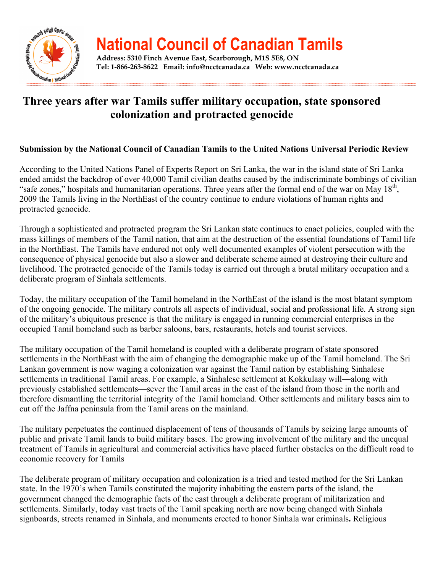

## **National Council of Canadian Tamils**

**Address: 5310 Finch Avenue East, Scarborough, M1S 5E8, ON Tel: 1-866-263-8622 Email: info@ncctcanada.ca Web: www.ncctcanada.ca**

## **Three years after war Tamils suffer military occupation, state sponsored colonization and protracted genocide**

## **Submission by the National Council of Canadian Tamils to the United Nations Universal Periodic Review**

According to the United Nations Panel of Experts Report on Sri Lanka, the war in the island state of Sri Lanka ended amidst the backdrop of over 40,000 Tamil civilian deaths caused by the indiscriminate bombings of civilian "safe zones," hospitals and humanitarian operations. Three years after the formal end of the war on May 18<sup>th</sup>, 2009 the Tamils living in the NorthEast of the country continue to endure violations of human rights and protracted genocide.

Through a sophisticated and protracted program the Sri Lankan state continues to enact policies, coupled with the mass killings of members of the Tamil nation, that aim at the destruction of the essential foundations of Tamil life in the NorthEast. The Tamils have endured not only well documented examples of violent persecution with the consequence of physical genocide but also a slower and deliberate scheme aimed at destroying their culture and livelihood. The protracted genocide of the Tamils today is carried out through a brutal military occupation and a deliberate program of Sinhala settlements.

Today, the military occupation of the Tamil homeland in the NorthEast of the island is the most blatant symptom of the ongoing genocide. The military controls all aspects of individual, social and professional life. A strong sign of the military's ubiquitous presence is that the military is engaged in running commercial enterprises in the occupied Tamil homeland such as barber saloons, bars, restaurants, hotels and tourist services.

The military occupation of the Tamil homeland is coupled with a deliberate program of state sponsored settlements in the NorthEast with the aim of changing the demographic make up of the Tamil homeland. The Sri Lankan government is now waging a colonization war against the Tamil nation by establishing Sinhalese settlements in traditional Tamil areas. For example, a Sinhalese settlement at Kokkulaay will—along with previously established settlements—sever the Tamil areas in the east of the island from those in the north and therefore dismantling the territorial integrity of the Tamil homeland. Other settlements and military bases aim to cut off the Jaffna peninsula from the Tamil areas on the mainland.

The military perpetuates the continued displacement of tens of thousands of Tamils by seizing large amounts of public and private Tamil lands to build military bases. The growing involvement of the military and the unequal treatment of Tamils in agricultural and commercial activities have placed further obstacles on the difficult road to economic recovery for Tamils

The deliberate program of military occupation and colonization is a tried and tested method for the Sri Lankan state. In the 1970's when Tamils constituted the majority inhabiting the eastern parts of the island, the government changed the demographic facts of the east through a deliberate program of militarization and settlements. Similarly, today vast tracts of the Tamil speaking north are now being changed with Sinhala signboards, streets renamed in Sinhala, and monuments erected to honor Sinhala war criminals**.** Religious